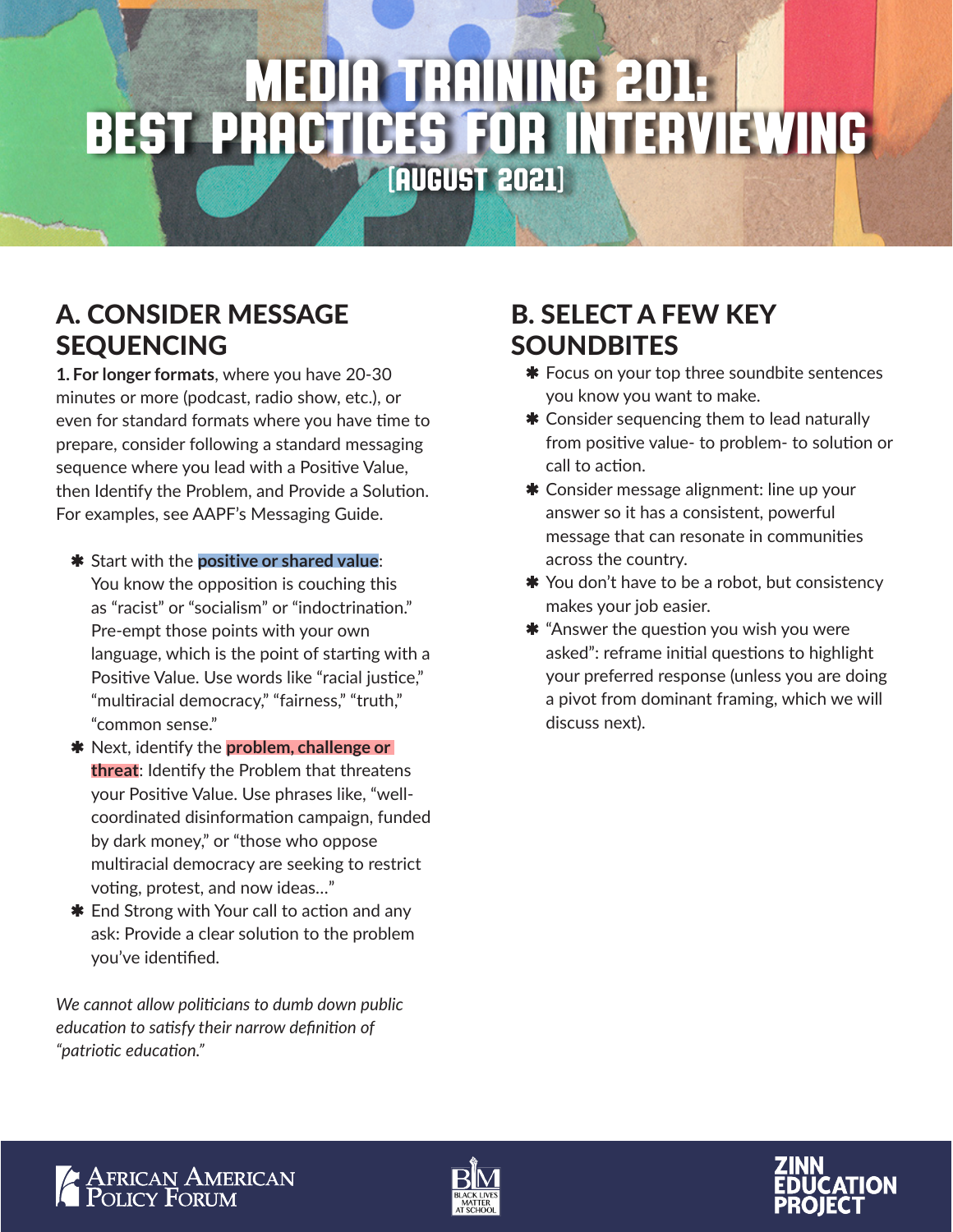# Media Training 201: Best Practices for Interviewing (August 2021)

## A. CONSIDER MESSAGE SEQUENCING

**1. For longer formats**, where you have 20-30 minutes or more (podcast, radio show, etc.), or even for standard formats where you have time to prepare, consider following a standard messaging sequence where you lead with a Positive Value, then Identify the Problem, and Provide a Solution. For examples, see AAPF's Messaging Guide.

- $*$  Start with the **positive or shared value**: You know the opposition is couching this as "racist" or "socialism" or "indoctrination." Pre-empt those points with your own language, which is the point of starting with a Positive Value. Use words like "racial justice," "multiracial democracy," "fairness," "truth," "common sense."
- $*$  Next, identify the **problem, challenge or threat**: Identify the Problem that threatens your Positive Value. Use phrases like, "wellcoordinated disinformation campaign, funded by dark money," or "those who oppose multiracial democracy are seeking to restrict voting, protest, and now ideas…"
- $*$  End Strong with Your call to action and any ask: Provide a clear solution to the problem you've identified.

*We cannot allow politicians to dumb down public education to satisfy their narrow definition of "patriotic education."* 

## B. SELECT A FEW KEY **SOUNDBITES**

- **\*** Focus on your top three soundbite sentences you know you want to make.
- **\*** Consider sequencing them to lead naturally from positive value- to problem- to solution or call to action.
- **\*** Consider message alignment: line up your answer so it has a consistent, powerful message that can resonate in communities across the country.
- \* You don't have to be a robot, but consistency makes your job easier.
- $\boldsymbol{\ast}$  "Answer the question you wish you were asked": reframe initial questions to highlight your preferred response (unless you are doing a pivot from dominant framing, which we will discuss next).